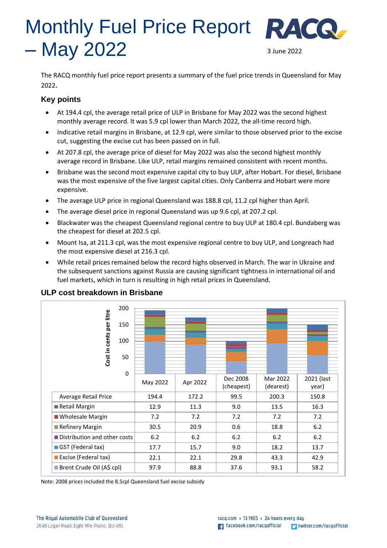# Monthly Fuel Price Report RACG  $-$  May 2022  $\frac{3 \text{ June } 2022}{20}$

The RACQ monthly fuel price report presents a summary of the fuel price trends in Queensland for May 2022**.**

## **Key points**

- At 194.4 cpl, the average retail price of ULP in Brisbane for May 2022 was the second highest monthly average record. It was 5.9 cpl lower than March 2022, the all-time record high.
- Indicative retail margins in Brisbane, at 12.9 cpl, were similar to those observed prior to the excise cut, suggesting the excise cut has been passed on in full.
- At 207.8 cpl, the average price of diesel for May 2022 was also the second highest monthly average record in Brisbane. Like ULP, retail margins remained consistent with recent months.
- Brisbane was the second most expensive capital city to buy ULP, after Hobart. For diesel, Brisbane was the most expensive of the five largest capital cities. Only Canberra and Hobart were more expensive.
- The average ULP price in regional Queensland was 188.8 cpl, 11.2 cpl higher than April.
- The average diesel price in regional Queensland was up 9.6 cpl, at 207.2 cpl.
- Blackwater was the cheapest Queensland regional centre to buy ULP at 180.4 cpl. Bundaberg was the cheapest for diesel at 202.5 cpl.
- Mount Isa, at 211.3 cpl, was the most expensive regional centre to buy ULP, and Longreach had the most expensive diesel at 216.3 cpl.
- While retail prices remained below the record highs observed in March. The war in Ukraine and the subsequent sanctions against Russia are causing significant tightness in international oil and fuel markets, which in turn is resulting in high retail prices in Queensland.

|                              | 200         |          |          |                        |                       |                     |
|------------------------------|-------------|----------|----------|------------------------|-----------------------|---------------------|
|                              | 150         |          |          |                        |                       |                     |
| Cost in cents per litre      | 100         |          |          |                        |                       |                     |
|                              | 50          |          |          |                        |                       |                     |
|                              | $\mathbf 0$ |          |          |                        |                       |                     |
|                              |             | May 2022 | Apr 2022 | Dec 2008<br>(cheapest) | Mar 2022<br>(dearest) | 2021 (last<br>year) |
| Average Retail Price         |             | 194.4    | 172.2    | 99.5                   | 200.3                 | 150.8               |
| Retail Margin                |             | 12.9     | 11.3     | 9.0                    | 13.5                  | 16.3                |
| <b>Wholesale Margin</b>      |             | 7.2      | 7.2      | 7.2                    | 7.2                   | 7.2                 |
| Refinery Margin              |             | 30.5     | 20.9     | 0.6                    | 18.8                  | $6.2$               |
| Distribution and other costs |             | $6.2$    | $6.2$    | 6.2                    | 6.2                   | $6.2$               |
| GST (Federal tax)            |             | 17.7     | 15.7     | 9.0                    | 18.2                  | 13.7                |
| Excise (Federal tax)         |             | 22.1     | 22.1     | 29.8                   | 43.3                  | 42.9                |
| Brent Crude Oil (A\$ cpl)    |             | 97.9     | 88.8     | 37.6                   | 93.1                  | 58.2                |

# **ULP cost breakdown in Brisbane**

Note: 2008 prices included the 8.5cpl Queensland fuel excise subsidy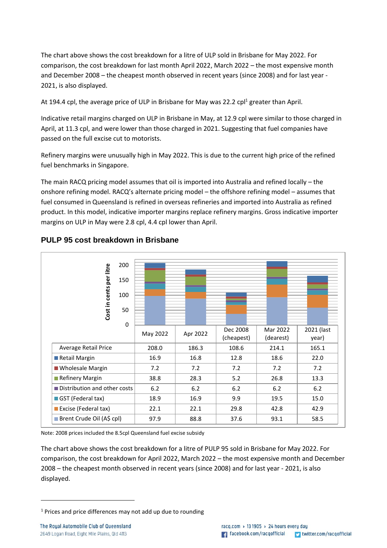The chart above shows the cost breakdown for a litre of ULP sold in Brisbane for May 2022. For comparison, the cost breakdown for last month April 2022, March 2022 – the most expensive month and December 2008 – the cheapest month observed in recent years (since 2008) and for last year - 2021, is also displayed.

At 194.4 cpl, the average price of ULP in Brisbane for May was 22.2 cpl<sup>1</sup> greater than April.

Indicative retail margins charged on ULP in Brisbane in May, at 12.9 cpl were similar to those charged in April, at 11.3 cpl, and were lower than those charged in 2021. Suggesting that fuel companies have passed on the full excise cut to motorists.

Refinery margins were unusually high in May 2022. This is due to the current high price of the refined fuel benchmarks in Singapore.

The main RACQ pricing model assumes that oil is imported into Australia and refined locally – the onshore refining model. RACQ's alternate pricing model – the offshore refining model – assumes that fuel consumed in Queensland is refined in overseas refineries and imported into Australia as refined product. In this model, indicative importer margins replace refinery margins. Gross indicative importer margins on ULP in May were 2.8 cpl, 4.4 cpl lower than April.



## **PULP 95 cost breakdown in Brisbane**

Note: 2008 prices included the 8.5cpl Queensland fuel excise subsidy

The chart above shows the cost breakdown for a litre of PULP 95 sold in Brisbane for May 2022. For comparison, the cost breakdown for April 2022, March 2022 – the most expensive month and December 2008 – the cheapest month observed in recent years (since 2008) and for last year - 2021, is also displayed.

 $1$  Prices and price differences may not add up due to rounding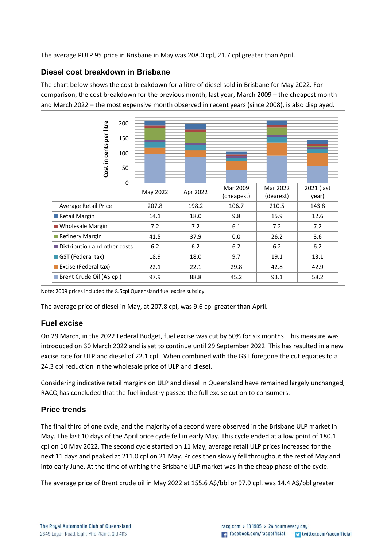The average PULP 95 price in Brisbane in May was 208.0 cpl, 21.7 cpl greater than April.

## **Diesel cost breakdown in Brisbane**

The chart below shows the cost breakdown for a litre of diesel sold in Brisbane for May 2022. For comparison, the cost breakdown for the previous month, last year, March 2009 – the cheapest month and March 2022 – the most expensive month observed in recent years (since 2008), is also displayed.



Note: 2009 prices included the 8.5cpl Queensland fuel excise subsidy

The average price of diesel in May, at 207.8 cpl, was 9.6 cpl greater than April.

## **Fuel excise**

On 29 March, in the 2022 Federal Budget, fuel excise was cut by 50% for six months. This measure was introduced on 30 March 2022 and is set to continue until 29 September 2022. This has resulted in a new excise rate for ULP and diesel of 22.1 cpl. When combined with the GST foregone the cut equates to a 24.3 cpl reduction in the wholesale price of ULP and diesel.

Considering indicative retail margins on ULP and diesel in Queensland have remained largely unchanged, RACQ has concluded that the fuel industry passed the full excise cut on to consumers.

# **Price trends**

The final third of one cycle, and the majority of a second were observed in the Brisbane ULP market in May. The last 10 days of the April price cycle fell in early May. This cycle ended at a low point of 180.1 cpl on 10 May 2022. The second cycle started on 11 May, average retail ULP prices increased for the next 11 days and peaked at 211.0 cpl on 21 May. Prices then slowly fell throughout the rest of May and into early June. At the time of writing the Brisbane ULP market was in the cheap phase of the cycle.

The average price of Brent crude oil in May 2022 at 155.6 A\$/bbl or 97.9 cpl, was 14.4 A\$/bbl greater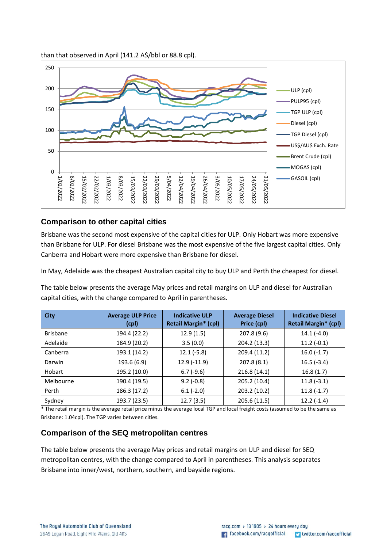#### than that observed in April (141.2 A\$/bbl or 88.8 cpl).



## **Comparison to other capital cities**

Brisbane was the second most expensive of the capital cities for ULP. Only Hobart was more expensive than Brisbane for ULP. For diesel Brisbane was the most expensive of the five largest capital cities. Only Canberra and Hobart were more expensive than Brisbane for diesel.

In May, Adelaide was the cheapest Australian capital city to buy ULP and Perth the cheapest for diesel.

The table below presents the average May prices and retail margins on ULP and diesel for Australian capital cities, with the change compared to April in parentheses.

| <b>City</b>     | <b>Average ULP Price</b><br>(cpl) | <b>Indicative ULP</b><br><b>Retail Margin* (cpl)</b> | <b>Average Diesel</b><br>Price (cpl) | <b>Indicative Diesel</b><br><b>Retail Margin* (cpl)</b> |
|-----------------|-----------------------------------|------------------------------------------------------|--------------------------------------|---------------------------------------------------------|
| <b>Brisbane</b> | 194.4 (22.2)                      | 12.9(1.5)                                            | 207.8 (9.6)                          | $14.1(-4.0)$                                            |
| Adelaide        | 184.9 (20.2)                      | 3.5(0.0)                                             | 204.2 (13.3)                         | $11.2(-0.1)$                                            |
| Canberra        | 193.1 (14.2)                      | $12.1(-5.8)$                                         | 209.4 (11.2)                         | $16.0(-1.7)$                                            |
| Darwin          | 193.6 (6.9)                       | 12.9 (-11.9)                                         | 207.8 (8.1)                          | $16.5(-3.4)$                                            |
| Hobart          | 195.2 (10.0)                      | $6.7(-9.6)$                                          | 216.8(14.1)                          | 16.8(1.7)                                               |
| Melbourne       | 190.4 (19.5)                      | $9.2(-0.8)$                                          | 205.2 (10.4)                         | $11.8(-3.1)$                                            |
| Perth           | 186.3 (17.2)                      | $6.1(-2.0)$                                          | 203.2 (10.2)                         | $11.8(-1.7)$                                            |
| Sydney          | 193.7 (23.5)                      | 12.7(3.5)                                            | 205.6 (11.5)                         | $12.2(-1.4)$                                            |

\* The retail margin is the average retail price minus the average local TGP and local freight costs (assumed to be the same as Brisbane: 1.04cpl). The TGP varies between cities.

### **Comparison of the SEQ metropolitan centres**

The table below presents the average May prices and retail margins on ULP and diesel for SEQ metropolitan centres, with the change compared to April in parentheses. This analysis separates Brisbane into inner/west, northern, southern, and bayside regions.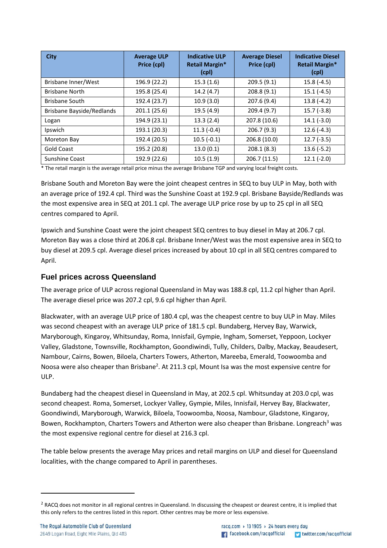| <b>City</b>               | <b>Average ULP</b><br>Price (cpl) | <b>Indicative ULP</b><br>Retail Margin*<br>(cpl) | <b>Average Diesel</b><br>Price (cpl) | <b>Indicative Diesel</b><br><b>Retail Margin*</b><br>(cpl) |
|---------------------------|-----------------------------------|--------------------------------------------------|--------------------------------------|------------------------------------------------------------|
| Brisbane Inner/West       | 196.9 (22.2)                      | 15.3(1.6)                                        | 209.5(9.1)                           | $15.8(-4.5)$                                               |
| <b>Brisbane North</b>     | 195.8 (25.4)                      | 14.2(4.7)                                        | 208.8 (9.1)                          | $15.1(-4.5)$                                               |
| <b>Brisbane South</b>     | 192.4 (23.7)                      | 10.9(3.0)                                        | 207.6 (9.4)                          | $13.8(-4.2)$                                               |
| Brisbane Bayside/Redlands | 201.1 (25.6)                      | 19.5(4.9)                                        | 209.4 (9.7)                          | $15.7(-3.8)$                                               |
| Logan                     | 194.9 (23.1)                      | 13.3(2.4)                                        | 207.8 (10.6)                         | $14.1(-3.0)$                                               |
| Ipswich                   | 193.1 (20.3)                      | $11.3(-0.4)$                                     | 206.7 (9.3)                          | $12.6(-4.3)$                                               |
| Moreton Bay               | 192.4 (20.5)                      | $10.5(-0.1)$                                     | 206.8 (10.0)                         | $12.7(-3.5)$                                               |
| Gold Coast                | 195.2 (20.8)                      | 13.0(0.1)                                        | 208.1(8.3)                           | $13.6(-5.2)$                                               |
| Sunshine Coast            | 192.9 (22.6)                      | 10.5(1.9)                                        | 206.7 (11.5)                         | $12.1(-2.0)$                                               |

\* The retail margin is the average retail price minus the average Brisbane TGP and varying local freight costs.

Brisbane South and Moreton Bay were the joint cheapest centres in SEQ to buy ULP in May, both with an average price of 192.4 cpl. Third was the Sunshine Coast at 192.9 cpl. Brisbane Bayside/Redlands was the most expensive area in SEQ at 201.1 cpl. The average ULP price rose by up to 25 cpl in all SEQ centres compared to April.

Ipswich and Sunshine Coast were the joint cheapest SEQ centres to buy diesel in May at 206.7 cpl. Moreton Bay was a close third at 206.8 cpl. Brisbane Inner/West was the most expensive area in SEQ to buy diesel at 209.5 cpl. Average diesel prices increased by about 10 cpl in all SEQ centres compared to April.

## **Fuel prices across Queensland**

The average price of ULP across regional Queensland in May was 188.8 cpl, 11.2 cpl higher than April. The average diesel price was 207.2 cpl, 9.6 cpl higher than April.

Blackwater, with an average ULP price of 180.4 cpl, was the cheapest centre to buy ULP in May. Miles was second cheapest with an average ULP price of 181.5 cpl. Bundaberg, Hervey Bay, Warwick, Maryborough, Kingaroy, Whitsunday, Roma, Innisfail, Gympie, Ingham, Somerset, Yeppoon, Lockyer Valley, Gladstone, Townsville, Rockhampton, Goondiwindi, Tully, Childers, Dalby, Mackay, Beaudesert, Nambour, Cairns, Bowen, Biloela, Charters Towers, Atherton, Mareeba, Emerald, Toowoomba and Noosa were also cheaper than Brisbane<sup>2</sup>. At 211.3 cpl, Mount Isa was the most expensive centre for ULP.

Bundaberg had the cheapest diesel in Queensland in May, at 202.5 cpl. Whitsunday at 203.0 cpl, was second cheapest. Roma, Somerset, Lockyer Valley, Gympie, Miles, Innisfail, Hervey Bay, Blackwater, Goondiwindi, Maryborough, Warwick, Biloela, Toowoomba, Noosa, Nambour, Gladstone, Kingaroy, Bowen, Rockhampton, Charters Towers and Atherton were also cheaper than Brisbane. Longreach<sup>3</sup> was the most expensive regional centre for diesel at 216.3 cpl.

The table below presents the average May prices and retail margins on ULP and diesel for Queensland localities, with the change compared to April in parentheses.

<sup>&</sup>lt;sup>2</sup> RACQ does not monitor in all regional centres in Queensland. In discussing the cheapest or dearest centre, it is implied that this only refers to the centres listed in this report. Other centres may be more or less expensive.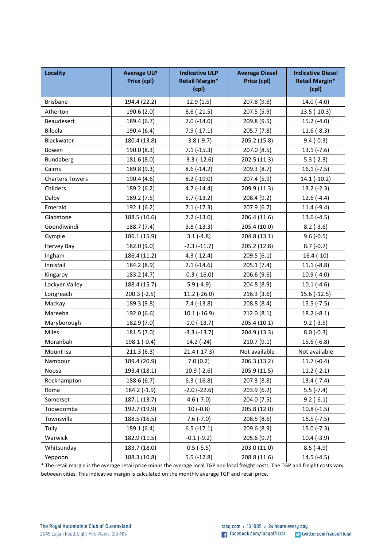| <b>Locality</b>        | <b>Average ULP</b><br>Price (cpl) | <b>Indicative ULP</b><br><b>Retail Margin*</b><br>(cpl) | <b>Average Diesel</b><br>Price (cpl) | <b>Indicative Diesel</b><br><b>Retail Margin*</b><br>(cpl) |
|------------------------|-----------------------------------|---------------------------------------------------------|--------------------------------------|------------------------------------------------------------|
| <b>Brisbane</b>        | 194.4 (22.2)                      | 12.9(1.5)                                               | 207.8 (9.6)                          | 14.0 $(-4.0)$                                              |
| Atherton               | 190.6 (2.0)                       | $8.6$ (-21.5)                                           | 207.5 (5.9)                          | $13.5$ (-10.3)                                             |
| Beaudesert             | 189.4 (6.7)                       | $7.0(-14.0)$                                            | 209.8 (9.5)                          | $15.2(-4.0)$                                               |
| Biloela                | 190.4 (6.4)                       | $7.9(-17.1)$                                            | 205.7(7.8)                           | $11.6(-8.3)$                                               |
| Blackwater             | 180.4 (13.8)                      | $-3.8(-9.7)$                                            | 205.2 (15.8)                         | $9.4(-0.3)$                                                |
| Bowen                  | 190.0 (8.3)                       | $7.1(-15.3)$                                            | 207.0 (8.5)                          | $13.1(-7.6)$                                               |
| Bundaberg              | 181.6 (8.0)                       | $-3.3$ $(-12.6)$                                        | 202.5 (11.3)                         | $5.3(-2.3)$                                                |
| Cairns                 | 189.8 (9.3)                       | $8.6(-14.2)$                                            | 209.3(8.7)                           | $16.1(-7.5)$                                               |
| <b>Charters Towers</b> | 190.4 (4.6)                       | $8.2$ (-19.0)                                           | 207.4 (5.9)                          | 14.1 (-10.2)                                               |
| Childers               | 189.2 (6.2)                       | $4.7(-14.4)$                                            | 209.9 (11.3)                         | $13.2$ (-2.3)                                              |
| Dalby                  | 189.2 (7.5)                       | $5.7(-13.2)$                                            | 208.4 (9.2)                          | $12.6(-4.4)$                                               |
| Emerald                | 192.1 (6.2)                       | $7.1(-17.3)$                                            | 207.9(6.7)                           | $11.4(-9.4)$                                               |
| Gladstone              | 188.5 (10.6)                      | $7.2(-13.0)$                                            | 206.4 (11.6)                         | $13.6(-4.5)$                                               |
| Goondiwindi            | 188.7 (7.4)                       | $3.8(-13.3)$                                            | 205.4 (10.0)                         | $8.2(-3.6)$                                                |
| Gympie                 | 186.1 (15.9)                      | $3.1(-4.8)$                                             | 204.8 (13.1)                         | $9.6(-0.5)$                                                |
| Hervey Bay             | 182.0 (9.0)                       | $-2.3(-11.7)$                                           | 205.2 (12.8)                         | $8.7(-0.7)$                                                |
| Ingham                 | 186.4 (11.2)                      | $4.3(-12.4)$                                            | 209.5(6.1)                           | $16.4(-10)$                                                |
| Innisfail              | 184.2 (8.9)                       | $2.1(-14.6)$                                            | 205.1(7.4)                           | $11.1(-8.8)$                                               |
| Kingaroy               | 183.2 (4.7)                       | $-0.3$ $(-16.0)$                                        | 206.6(9.6)                           | $10.9(-4.0)$                                               |
| Lockyer Valley         | 188.4 (15.7)                      | $5.9(-4.9)$                                             | 204.8 (8.9)                          | $10.1(-4.6)$                                               |
| Longreach              | $200.3(-2.5)$                     | $11.2$ (-26.0)                                          | 216.3(3.6)                           | 15.6 (-12.5)                                               |
| Mackay                 | 189.3 (9.8)                       | $7.4(-13.8)$                                            | 208.8 (8.4)                          | $15.5(-7.5)$                                               |
| Mareeba                | 192.0 (6.6)                       | $10.1(-16.9)$                                           | 212.0(8.1)                           | $18.2(-8.1)$                                               |
| Maryborough            | 182.9 (7.0)                       | $-1.0$ $(-13.7)$                                        | 205.4 (10.1)                         | $9.2(-3.5)$                                                |
| Miles                  | 181.5 (7.0)                       | $-3.3(-13.7)$                                           | 204.9 (13.3)                         | $8.0(-0.3)$                                                |
| Moranbah               | 198.1 (-0.4)                      | 14.2 (-24)                                              | 210.7(9.1)                           | $15.6(-6.8)$                                               |
| Mount Isa              | 211.3(6.3)                        | $21.4(-17.3)$                                           | Not available                        | Not available                                              |
| Nambour                | 189.4 (20.9)                      | 7.0(0.2)                                                | 206.3 (13.2)                         | $11.7(-0.4)$                                               |
| Noosa                  | 193.4 (18.1)                      | $10.9(-2.6)$                                            | 205.9 (11.5)                         | $11.2(-2.1)$                                               |
| Rockhampton            | 188.6 (6.7)                       | $6.3$ ( $-16.8$ )                                       | 207.3 (8.8)                          | $13.4 (-7.4)$                                              |
| Roma                   | 184.2 (-1.9)                      | $-2.0$ $(-22.6)$                                        | 203.9(6.2)                           | $5.5(-7.4)$                                                |
| Somerset               | 187.1 (13.7)                      | $4.6(-7.0)$                                             | 204.0(7.5)                           | $9.2(-6.1)$                                                |
| Toowoomba              | 192.7 (19.9)                      | $10(-0.8)$                                              | 205.8 (12.0)                         | $10.8(-1.5)$                                               |
| Townsville             | 188.5 (16.5)                      | $7.6(-7.0)$                                             | 208.5(8.6)                           | $16.5(-7.5)$                                               |
| Tully                  | 189.1 (6.4)                       | $6.5(-17.1)$                                            | 209.6 (8.9)                          | $15.0$ (-7.3)                                              |
| Warwick                | 182.9 (11.5)                      | $-0.1(-9.2)$                                            | 205.6(9.7)                           | $10.4(-3.9)$                                               |
| Whitsunday             | 183.7 (18.0)                      | $0.5(-5.5)$                                             | 203.0 (11.0)                         | $8.5(-4.9)$                                                |
| Yeppoon                | 188.3 (10.8)                      | $5.5(-12.8)$                                            | 208.8 (11.6)                         | $14.5(-4.5)$                                               |

\* The retail margin is the average retail price minus the average local TGP and local freight costs. The TGP and freight costs vary between cities. This indicative margin is calculated on the monthly average TGP and retail price.